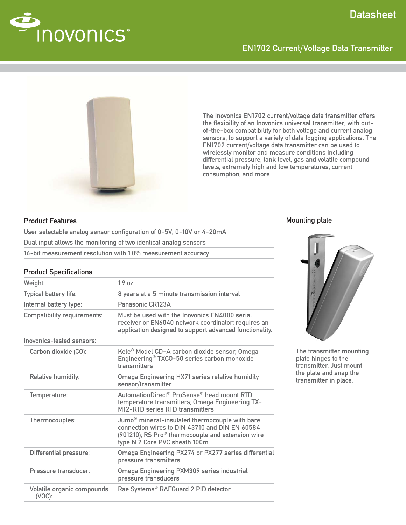

# EN1702 Current/Voltage Data Transmitter



The Inovonics EN1702 current/voltage data transmitter offers the flexibility of an Inovonics universal transmitter, with outof-the-box compatibility for both voltage and current analog sensors, to support a variety of data logging applications. The EN1702 current/voltage data transmitter can be used to wirelessly monitor and measure conditions including differential pressure, tank level, gas and volatile compound levels, extremely high and low temperatures, current consumption, and more.

#### Product Features

User selectable analog sensor configuration of 0-5V, 0-10V or 4-20mA Dual input allows the monitoring of two identical analog sensors 16-bit measurement resolution with 1.0% measurement accuracy

#### **Product Specifications**

| i Tuuutt Opetiiltativiis                |                                                                                                                                                                                                              |
|-----------------------------------------|--------------------------------------------------------------------------------------------------------------------------------------------------------------------------------------------------------------|
| Weight:                                 | 1.9 oz                                                                                                                                                                                                       |
| Typical battery life:                   | 8 years at a 5 minute transmission interval                                                                                                                                                                  |
| Internal battery type:                  | Panasonic CR123A                                                                                                                                                                                             |
| <b>Compatibility requirements:</b>      | Must be used with the Inovonics EN4000 serial<br>receiver or EN6040 network coordinator; requires an<br>application designed to support advanced functionality.                                              |
| Inovonics-tested sensors:               |                                                                                                                                                                                                              |
| Carbon dioxide (CO):                    | Kele <sup>®</sup> Model CD-A carbon dioxide sensor; Omega<br>Engineering <sup>®</sup> TXCO-50 series carbon monoxide<br>transmitters                                                                         |
| Relative humidity:                      | <b>Omega Engineering HX71 series relative humidity</b><br>sensor/transmitter                                                                                                                                 |
| Temperature:                            | AutomationDirect <sup>®</sup> ProSense <sup>®</sup> head mount RTD<br>temperature transmitters; Omega Engineering TX-<br>M12-RTD series RTD transmitters                                                     |
| Thermocouples:                          | Jumo <sup>®</sup> mineral-insulated thermocouple with bare<br>connection wires to DIN 43710 and DIN EN 60584<br>(901210); RS Pro $^{\circ}$ thermocouple and extension wire<br>type N 2 Core PVC sheath 100m |
| Differential pressure:                  | Omega Engineering PX274 or PX277 series differential<br>pressure transmitters                                                                                                                                |
| Pressure transducer:                    | Omega Engineering PXM309 series industrial<br>pressure transducers                                                                                                                                           |
| Volatile organic compounds<br>$(VOC)$ : | Rae Systems® RAEGuard 2 PID detector                                                                                                                                                                         |

#### Mounting plate



The transmitter mounting plate hinges to the transmitter. Just mount the plate and snap the transmitter in place.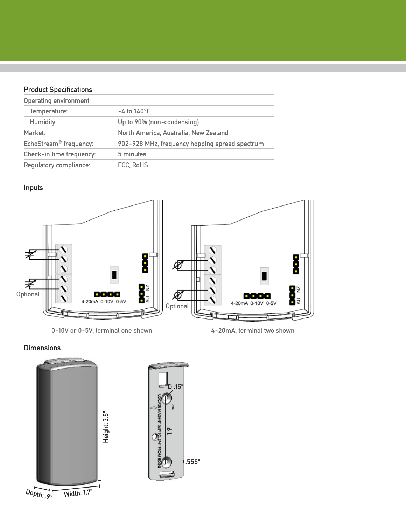# **Product Specifications**

| $-4$ to $140^{\circ}$ F                        |
|------------------------------------------------|
| Up to 90% (non-condensing)                     |
| North America, Australia, New Zealand          |
| 902-928 MHz, frequency hopping spread spectrum |
| 5 minutes                                      |
| FCC, RoHS                                      |
|                                                |

# Inputs



 $\overline{9}$ "

.555"

D .15"

0-10V or 0-5V, terminal one shown

4-20mA, terminal two shown

## **Dimensions**